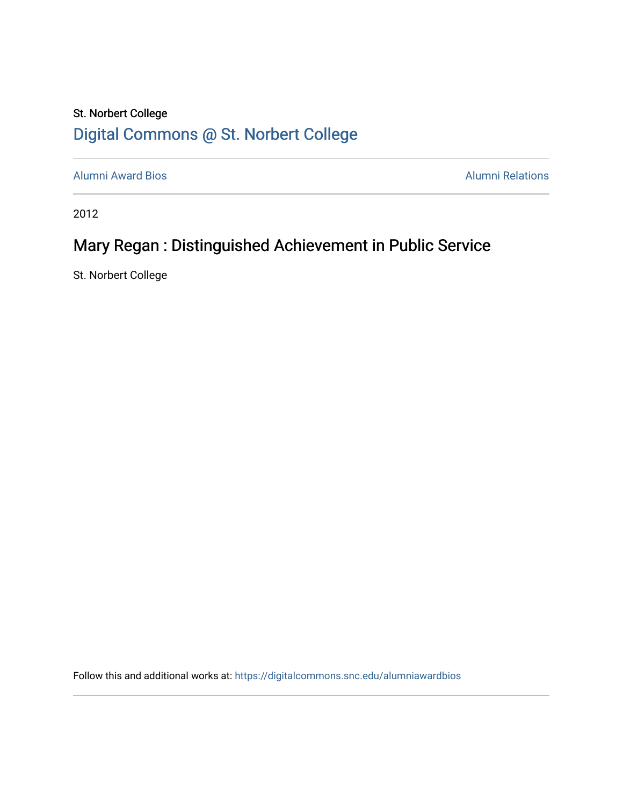## St. Norbert College [Digital Commons @ St. Norbert College](https://digitalcommons.snc.edu/)

[Alumni Award Bios](https://digitalcommons.snc.edu/alumniawardbios) **Alumni Relations** Alumni Relations

2012

## Mary Regan : Distinguished Achievement in Public Service

St. Norbert College

Follow this and additional works at: [https://digitalcommons.snc.edu/alumniawardbios](https://digitalcommons.snc.edu/alumniawardbios?utm_source=digitalcommons.snc.edu%2Falumniawardbios%2F55&utm_medium=PDF&utm_campaign=PDFCoverPages)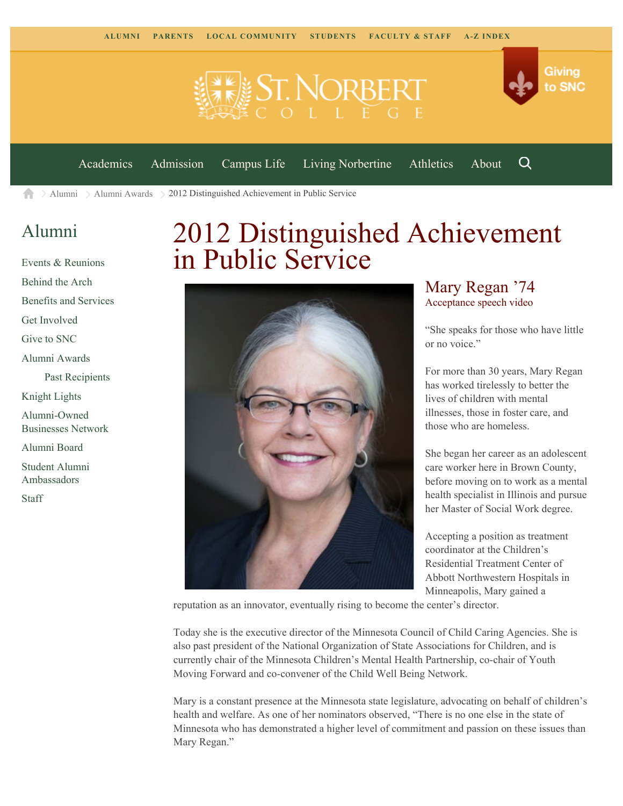



[Academics](https://www.snc.edu/academics) [Admission](https://www.snc.edu/admission) [Campus Life](https://www.snc.edu/campuslife) [Living Norbertine](https://www.snc.edu/livingnorbertine) [Athletics](https://www.snc.edu/athletics) [About](https://www.snc.edu/about)

Q

 $\geq$  [Alumni](https://www.snc.edu/alumni/)  $\geq$  [Alumni Awards](https://www.snc.edu/alumni/awards/)  $\geq$  2012 Distinguished Achievement in Public Service A

## [Alumni](https://www.snc.edu/alumni/index.html)

[Events & Reunions](https://www.snc.edu/alumni/event/index.html) [Behind the Arch](https://www.snc.edu/alumni/event/behindthearch/) [Benefits and Services](https://www.snc.edu/alumni/benefits.html) [Get Involved](https://www.snc.edu/alumni/getinvolved.html) [Give to SNC](http://giving.snc.edu/) [Alumni Awards](https://www.snc.edu/alumni/awards/index.html) [Past Recipients](https://www.snc.edu/alumni/awards/recipients.html) [Knight Lights](https://www.snc.edu/alumni/knightlights/index.html) [Alumni-Owned](https://www.snc.edu/alumni/directory/index.html) [Businesses Network](https://www.snc.edu/alumni/directory/index.html) [Alumni Board](https://www.snc.edu/alumni/alumniboard.html) [Student Alumni](https://www.snc.edu/alumni/saa.html) [Ambassadors](https://www.snc.edu/alumni/saa.html) [Staff](https://www.snc.edu/alumni/contactus.html)

# 2012 Distinguished Achievement in Public Service



### Mary Regan '74 [Acceptance speech video](http://www.youtube.com/watch?v=q-0hSvY-zMA)

"She speaks for those who have little or no voice."

For more than 30 years, Mary Regan has worked tirelessly to better the lives of children with mental illnesses, those in foster care, and those who are homeless.

She began her career as an adolescent care worker here in Brown County, before moving on to work as a mental health specialist in Illinois and pursue her Master of Social Work degree.

Accepting a position as treatment coordinator at the Children's Residential Treatment Center of Abbott Northwestern Hospitals in Minneapolis, Mary gained a

reputation as an innovator, eventually rising to become the center's director.

Today she is the executive director of the Minnesota Council of Child Caring Agencies. She is also past president of the National Organization of State Associations for Children, and is currently chair of the Minnesota Children's Mental Health Partnership, co-chair of Youth Moving Forward and co-convener of the Child Well Being Network.

Mary is a constant presence at the Minnesota state legislature, advocating on behalf of children's health and welfare. As one of her nominators observed, "There is no one else in the state of Minnesota who has demonstrated a higher level of commitment and passion on these issues than Mary Regan."